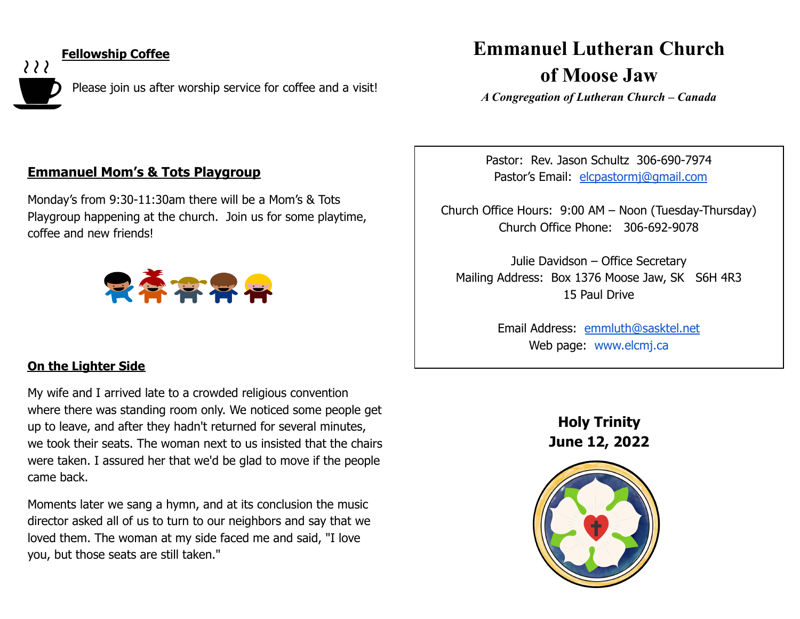

**Fellowship Coffee**

Please join us after worship service for coffee and a visit!

# **Emmanuel Lutheran Church**

**of Moose Jaw**

*A Congregation of Lutheran Church – Canada*

# **Emmanuel Mom's & Tots Playgroup**

Monday's from 9:30-11:30am there will be a Mom's & Tots Playgroup happening at the church. Join us for some playtime, coffee and new friends!



## **On the Lighter Side**

My wife and I arrived late to a crowded religious convention where there was standing room only. We noticed some people get up to leave, and after they hadn't returned for several minutes, we took their seats. The woman next to us insisted that the chairs were taken. I assured her that we'd be glad to move if the people came back.

Moments later we sang a hymn, and at its conclusion the music director asked all of us to turn to our neighbors and say that we loved them. The woman at my side faced me and said, "I love you, but those seats are still taken."

Pastor: Rev. Jason Schultz 306-690-7974 Pastor's Email: [elcpastormj@gmail.com](mailto:elcpastormj@gmail.com)

Church Office Hours: 9:00 AM – Noon (Tuesday-Thursday) Church Office Phone: 306-692-9078

Julie Davidson – Office Secretary Mailing Address: Box 1376 Moose Jaw, SK S6H 4R3 15 Paul Drive

> Email Address: [emmluth@sasktel.net](mailto:emmluth@sasktel.net) Web page: [www.elcmj.ca](http://www.elcmj.ca/)

> > **Holy Trinity June 12, 2022**